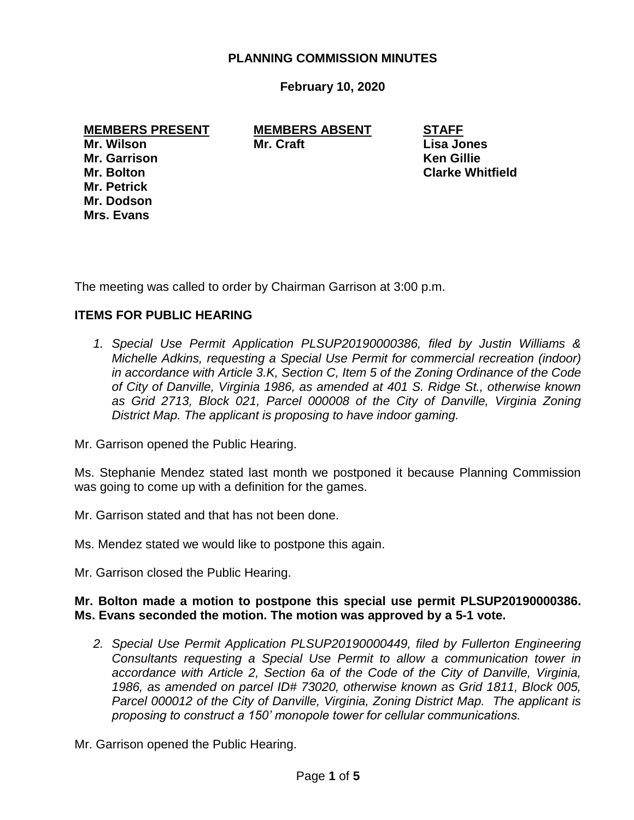### **PLANNING COMMISSION MINUTES**

**February 10, 2020**

**MEMBERS PRESENT MEMBERS ABSENT STAFF Mr. Wilson Mr. Craft Lisa Jones Mr. Garrison Ken Gillie Mr. Bolton Clarke Whitfield Mr. Petrick Mr. Dodson Mrs. Evans**

The meeting was called to order by Chairman Garrison at 3:00 p.m.

# **ITEMS FOR PUBLIC HEARING**

*1. Special Use Permit Application PLSUP20190000386, filed by Justin Williams & Michelle Adkins, requesting a Special Use Permit for commercial recreation (indoor) in accordance with Article 3.K, Section C, Item 5 of the Zoning Ordinance of the Code of City of Danville, Virginia 1986, as amended at 401 S. Ridge St., otherwise known as Grid 2713, Block 021, Parcel 000008 of the City of Danville, Virginia Zoning District Map. The applicant is proposing to have indoor gaming.*

Mr. Garrison opened the Public Hearing.

Ms. Stephanie Mendez stated last month we postponed it because Planning Commission was going to come up with a definition for the games.

Mr. Garrison stated and that has not been done.

Ms. Mendez stated we would like to postpone this again.

Mr. Garrison closed the Public Hearing.

#### **Mr. Bolton made a motion to postpone this special use permit PLSUP20190000386. Ms. Evans seconded the motion. The motion was approved by a 5-1 vote.**

*2. Special Use Permit Application PLSUP20190000449, filed by Fullerton Engineering Consultants requesting a Special Use Permit to allow a communication tower in accordance with Article 2, Section 6a of the Code of the City of Danville, Virginia, 1986, as amended on parcel ID# 73020, otherwise known as Grid 1811, Block 005, Parcel 000012 of the City of Danville, Virginia, Zoning District Map. The applicant is proposing to construct a 150' monopole tower for cellular communications.*

Mr. Garrison opened the Public Hearing.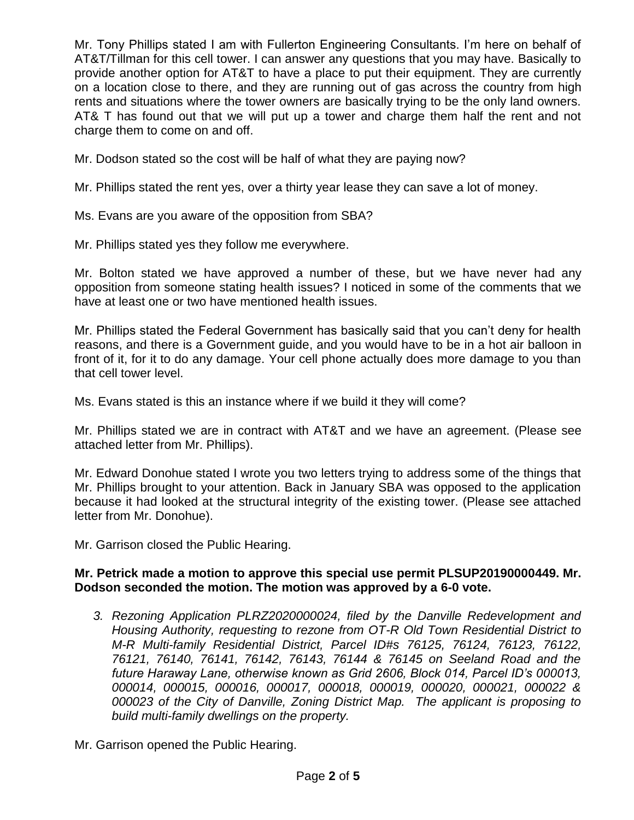Mr. Tony Phillips stated I am with Fullerton Engineering Consultants. I'm here on behalf of AT&T/Tillman for this cell tower. I can answer any questions that you may have. Basically to provide another option for AT&T to have a place to put their equipment. They are currently on a location close to there, and they are running out of gas across the country from high rents and situations where the tower owners are basically trying to be the only land owners. AT& T has found out that we will put up a tower and charge them half the rent and not charge them to come on and off.

Mr. Dodson stated so the cost will be half of what they are paying now?

Mr. Phillips stated the rent yes, over a thirty year lease they can save a lot of money.

Ms. Evans are you aware of the opposition from SBA?

Mr. Phillips stated yes they follow me everywhere.

Mr. Bolton stated we have approved a number of these, but we have never had any opposition from someone stating health issues? I noticed in some of the comments that we have at least one or two have mentioned health issues.

Mr. Phillips stated the Federal Government has basically said that you can't deny for health reasons, and there is a Government guide, and you would have to be in a hot air balloon in front of it, for it to do any damage. Your cell phone actually does more damage to you than that cell tower level.

Ms. Evans stated is this an instance where if we build it they will come?

Mr. Phillips stated we are in contract with AT&T and we have an agreement. (Please see attached letter from Mr. Phillips).

Mr. Edward Donohue stated I wrote you two letters trying to address some of the things that Mr. Phillips brought to your attention. Back in January SBA was opposed to the application because it had looked at the structural integrity of the existing tower. (Please see attached letter from Mr. Donohue).

Mr. Garrison closed the Public Hearing.

# **Mr. Petrick made a motion to approve this special use permit PLSUP20190000449. Mr. Dodson seconded the motion. The motion was approved by a 6-0 vote.**

*3. Rezoning Application PLRZ2020000024, filed by the Danville Redevelopment and Housing Authority, requesting to rezone from OT-R Old Town Residential District to M-R Multi-family Residential District, Parcel ID#s 76125, 76124, 76123, 76122, 76121, 76140, 76141, 76142, 76143, 76144 & 76145 on Seeland Road and the future Haraway Lane, otherwise known as Grid 2606, Block 014, Parcel ID's 000013, 000014, 000015, 000016, 000017, 000018, 000019, 000020, 000021, 000022 & 000023 of the City of Danville, Zoning District Map. The applicant is proposing to build multi-family dwellings on the property.*

Mr. Garrison opened the Public Hearing.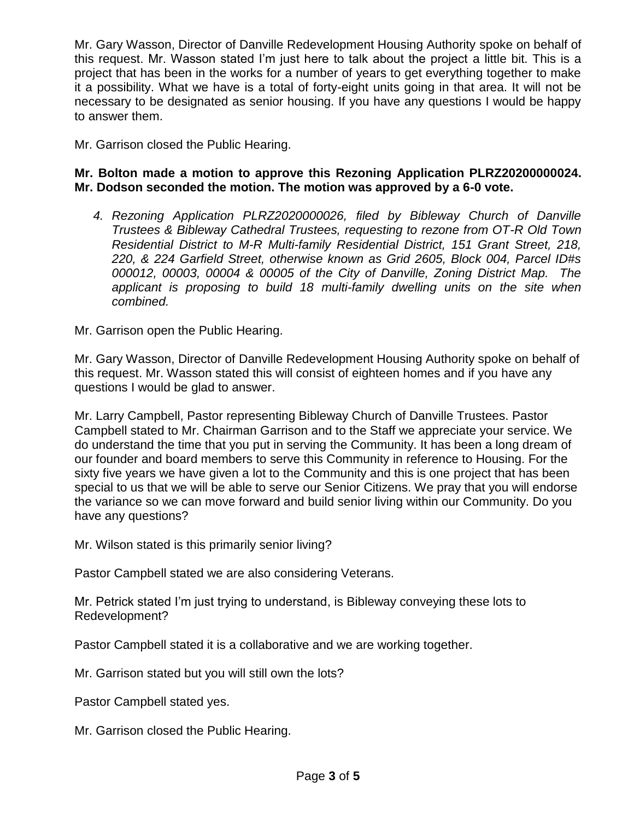Mr. Gary Wasson, Director of Danville Redevelopment Housing Authority spoke on behalf of this request. Mr. Wasson stated I'm just here to talk about the project a little bit. This is a project that has been in the works for a number of years to get everything together to make it a possibility. What we have is a total of forty-eight units going in that area. It will not be necessary to be designated as senior housing. If you have any questions I would be happy to answer them.

Mr. Garrison closed the Public Hearing.

# **Mr. Bolton made a motion to approve this Rezoning Application PLRZ20200000024. Mr. Dodson seconded the motion. The motion was approved by a 6-0 vote.**

*4. Rezoning Application PLRZ2020000026, filed by Bibleway Church of Danville Trustees & Bibleway Cathedral Trustees, requesting to rezone from OT-R Old Town Residential District to M-R Multi-family Residential District, 151 Grant Street, 218, 220, & 224 Garfield Street, otherwise known as Grid 2605, Block 004, Parcel ID#s 000012, 00003, 00004 & 00005 of the City of Danville, Zoning District Map. The applicant is proposing to build 18 multi-family dwelling units on the site when combined.*

Mr. Garrison open the Public Hearing.

Mr. Gary Wasson, Director of Danville Redevelopment Housing Authority spoke on behalf of this request. Mr. Wasson stated this will consist of eighteen homes and if you have any questions I would be glad to answer.

Mr. Larry Campbell, Pastor representing Bibleway Church of Danville Trustees. Pastor Campbell stated to Mr. Chairman Garrison and to the Staff we appreciate your service. We do understand the time that you put in serving the Community. It has been a long dream of our founder and board members to serve this Community in reference to Housing. For the sixty five years we have given a lot to the Community and this is one project that has been special to us that we will be able to serve our Senior Citizens. We pray that you will endorse the variance so we can move forward and build senior living within our Community. Do you have any questions?

Mr. Wilson stated is this primarily senior living?

Pastor Campbell stated we are also considering Veterans.

Mr. Petrick stated I'm just trying to understand, is Bibleway conveying these lots to Redevelopment?

Pastor Campbell stated it is a collaborative and we are working together.

Mr. Garrison stated but you will still own the lots?

Pastor Campbell stated yes.

Mr. Garrison closed the Public Hearing.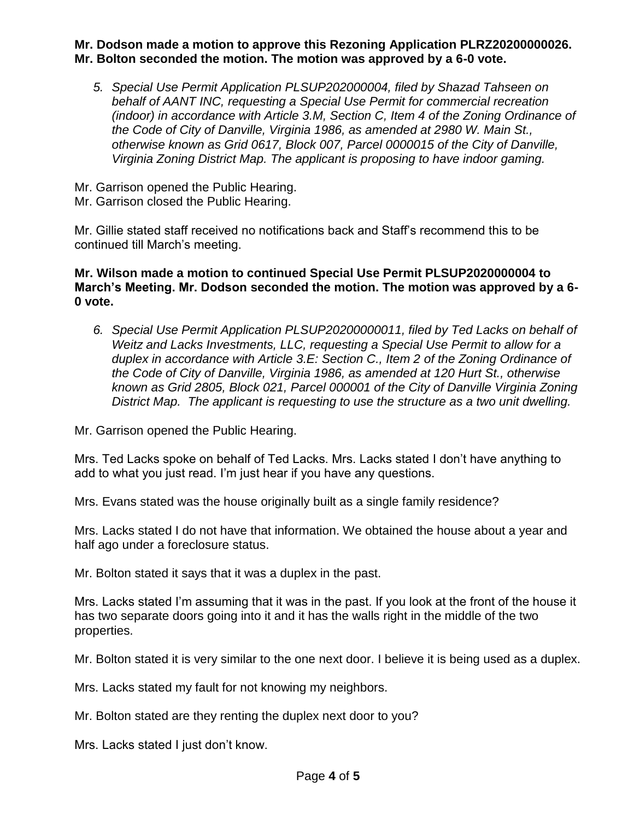### **Mr. Dodson made a motion to approve this Rezoning Application PLRZ20200000026. Mr. Bolton seconded the motion. The motion was approved by a 6-0 vote.**

- *5. Special Use Permit Application PLSUP202000004, filed by Shazad Tahseen on behalf of AANT INC, requesting a Special Use Permit for commercial recreation (indoor) in accordance with Article 3.M, Section C, Item 4 of the Zoning Ordinance of the Code of City of Danville, Virginia 1986, as amended at 2980 W. Main St., otherwise known as Grid 0617, Block 007, Parcel 0000015 of the City of Danville, Virginia Zoning District Map. The applicant is proposing to have indoor gaming.*
- Mr. Garrison opened the Public Hearing.
- Mr. Garrison closed the Public Hearing.

Mr. Gillie stated staff received no notifications back and Staff's recommend this to be continued till March's meeting.

# **Mr. Wilson made a motion to continued Special Use Permit PLSUP2020000004 to March's Meeting. Mr. Dodson seconded the motion. The motion was approved by a 6- 0 vote.**

*6. Special Use Permit Application PLSUP20200000011, filed by Ted Lacks on behalf of Weitz and Lacks Investments, LLC, requesting a Special Use Permit to allow for a duplex in accordance with Article 3.E: Section C., Item 2 of the Zoning Ordinance of the Code of City of Danville, Virginia 1986, as amended at 120 Hurt St., otherwise known as Grid 2805, Block 021, Parcel 000001 of the City of Danville Virginia Zoning District Map. The applicant is requesting to use the structure as a two unit dwelling.*

Mr. Garrison opened the Public Hearing.

Mrs. Ted Lacks spoke on behalf of Ted Lacks. Mrs. Lacks stated I don't have anything to add to what you just read. I'm just hear if you have any questions.

Mrs. Evans stated was the house originally built as a single family residence?

Mrs. Lacks stated I do not have that information. We obtained the house about a year and half ago under a foreclosure status.

Mr. Bolton stated it says that it was a duplex in the past.

Mrs. Lacks stated I'm assuming that it was in the past. If you look at the front of the house it has two separate doors going into it and it has the walls right in the middle of the two properties.

Mr. Bolton stated it is very similar to the one next door. I believe it is being used as a duplex.

Mrs. Lacks stated my fault for not knowing my neighbors.

Mr. Bolton stated are they renting the duplex next door to you?

Mrs. Lacks stated I just don't know.